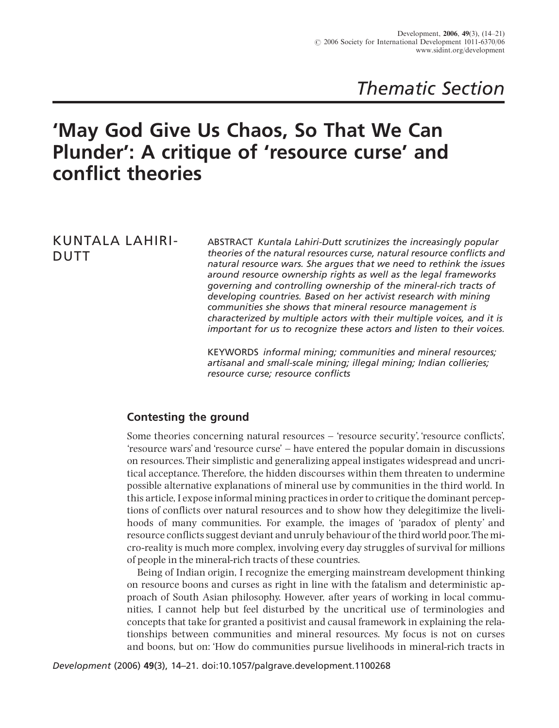# Thematic Section

# 'May God Give Us Chaos, So That We Can Plunder': A critique of 'resource curse' and conflict theories

### KUNTALA LAHIRI-DUTT

ABSTRACT Kuntala Lahiri-Dutt scrutinizes the increasingly popular theories of the natural resources curse, natural resource conflicts and natural resource wars. She argues that we need to rethink the issues around resource ownership rights as well as the legal frameworks governing and controlling ownership of the mineral-rich tracts of developing countries. Based on her activist research with mining communities she shows that mineral resource management is characterized by multiple actors with their multiple voices, and it is important for us to recognize these actors and listen to their voices.

KEYWORDS informal mining; communities and mineral resources; artisanal and small-scale mining; illegal mining; Indian collieries; resource curse; resource conflicts

#### Contesting the ground

Some theories concerning natural resources – 'resource security', 'resource conflicts', 'resource wars' and 'resource curse' ^ have entered the popular domain in discussions on resources. Their simplistic and generalizing appeal instigates widespread and uncritical acceptance. Therefore, the hidden discourses within them threaten to undermine possible alternative explanations of mineral use by communities in the third world. In this article, Iexpose informal mining practices in order to critique the dominant perceptions of conflicts over natural resources and to show how they delegitimize the livelihoods of many communities. For example, the images of 'paradox of plenty' and resource conflicts suggest deviant and unruly behaviour of the third world poor.The micro-reality is much more complex, involving every day struggles of survival for millions of people in the mineral-rich tracts of these countries.

Being of Indian origin, I recognize the emerging mainstream development thinking on resource boons and curses as right in line with the fatalism and deterministic approach of South Asian philosophy. However, after years of working in local communities, Icannot help but feel disturbed by the uncritical use of terminologies and concepts that take for granted a positivist and causal framework in explaining the relationships between communities and mineral resources. My focus is not on curses and boons, but on: 'How do communities pursue livelihoods in mineral-rich tracts in

Development (2006) 49(3), 14–21. doi:10.1057/palgrave.development.1100268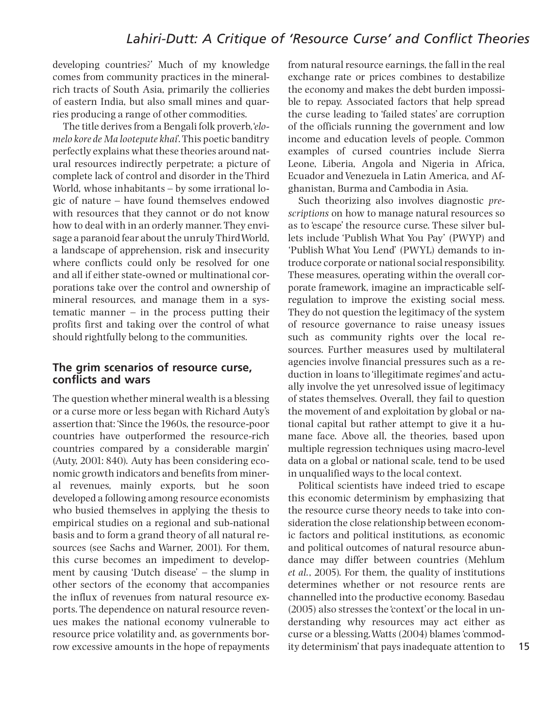## Lahiri-Dutt: A Critique of 'Resource Curse' and Conflict Theories

developing countries?' Much of my knowledge comes from community practices in the mineralrich tracts of South Asia, primarily the collieries of eastern India, but also small mines and quarries producing a range of other commodities.

The title derives from a Bengali folk proverb,'elomelo kore de Ma lootepute khai'. This poetic banditry perfectly explains what these theories around natural resources indirectly perpetrate; a picture of complete lack of control and disorder in the Third World, whose inhabitants - by some irrational logic of nature ^ have found themselves endowed with resources that they cannot or do not know how to deal with in an orderly manner. They envisage a paranoid fear about the unruly ThirdWorld, a landscape of apprehension, risk and insecurity where conflicts could only be resolved for one and all if either state-owned or multinational corporations take over the control and ownership of mineral resources, and manage them in a systematic manner  $-$  in the process putting their profits first and taking over the control of what should rightfully belong to the communities.

#### The grim scenarios of resource curse, conflicts and wars

The question whether mineral wealth is a blessing or a curse more or less began with Richard Auty's assertion that:'Since the 1960s, the resource-poor countries have outperformed the resource-rich countries compared by a considerable margin' (Auty, 2001: 840). Auty has been considering economic growth indicators and benefits from mineral revenues, mainly exports, but he soon developed a following among resource economists who busied themselves in applying the thesis to empirical studies on a regional and sub-national basis and to form a grand theory of all natural resources (see Sachs and Warner, 2001). For them, this curse becomes an impediment to development by causing 'Dutch disease' – the slump in other sectors of the economy that accompanies the influx of revenues from natural resource exports. The dependence on natural resource revenues makes the national economy vulnerable to resource price volatility and, as governments borrow excessive amounts in the hope of repayments

from natural resource earnings, the fall in the real exchange rate or prices combines to destabilize the economy and makes the debt burden impossible to repay. Associated factors that help spread the curse leading to 'failed states' are corruption of the officials running the government and low income and education levels of people. Common examples of cursed countries include Sierra Leone, Liberia, Angola and Nigeria in Africa, Ecuador and Venezuela in Latin America, and Afghanistan, Burma and Cambodia in Asia.

Such theorizing also involves diagnostic prescriptions on how to manage natural resources so as to 'escape' the resource curse. These silver bullets include 'Publish What You Pay' (PWYP) and 'Publish What You Lend' (PWYL) demands to introduce corporate or national social responsibility. These measures, operating within the overall corporate framework, imagine an impracticable selfregulation to improve the existing social mess. They do not question the legitimacy of the system of resource governance to raise uneasy issues such as community rights over the local resources. Further measures used by multilateral agencies involve financial pressures such as a reduction in loans to'illegitimate regimes'and actually involve the yet unresolved issue of legitimacy of states themselves. Overall, they fail to question the movement of and exploitation by global or national capital but rather attempt to give it a humane face. Above all, the theories, based upon multiple regression techniques using macro-level data on a global or national scale, tend to be used in unqualified ways to the local context.

Political scientists have indeed tried to escape this economic determinism by emphasizing that the resource curse theory needs to take into consideration the close relationship between economic factors and political institutions, as economic and political outcomes of natural resource abundance may differ between countries (Mehlum et al., 2005). For them, the quality of institutions determines whether or not resource rents are channelled into the productive economy. Basedau (2005) also stresses the'context'or the local in understanding why resources may act either as curse or a blessing.Watts (2004) blames 'commodity determinism' that pays inadequate attention to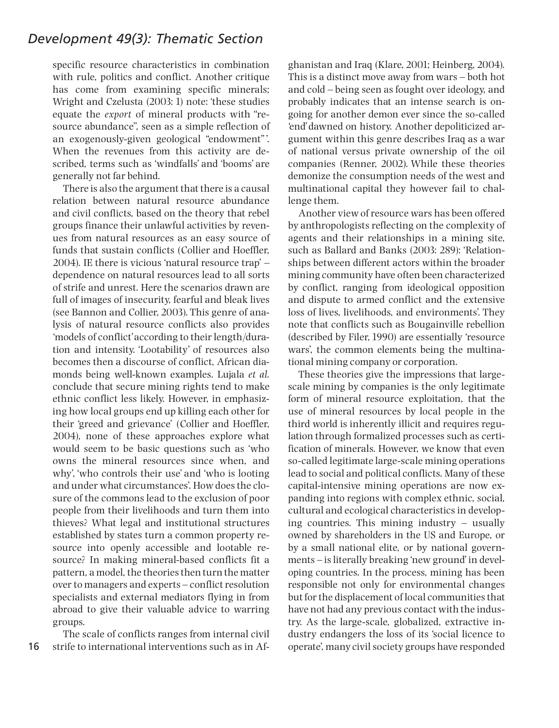## Development 49(3): Thematic Section

specific resource characteristics in combination with rule, politics and conflict. Another critique has come from examining specific minerals; Wright and Czelusta (2003: 1) note: 'these studies equate the export of mineral products with ''resource abundance'', seen as a simple reflection of an exogenously-given geological "endowment"'. When the revenues from this activity are described, terms such as 'windfalls' and 'booms' are generally not far behind.

There is also the argument that there is a causal relation between natural resource abundance and civil conflicts, based on the theory that rebel groups finance their unlawful activities by revenues from natural resources as an easy source of funds that sustain conflicts (Collier and Hoeffler, 2004). IE there is vicious 'natural resource trap'  $$ dependence on natural resources lead to all sorts of strife and unrest. Here the scenarios drawn are full of images of insecurity, fearful and bleak lives (see Bannon and Collier, 2003). This genre of analysis of natural resource conflicts also provides 'models of conflict'according to their length/duration and intensity. 'Lootability' of resources also becomes then a discourse of conflict, African diamonds being well-known examples. Lujala et al. conclude that secure mining rights tend to make ethnic conflict less likely. However, in emphasizing how local groups end up killing each other for their 'greed and grievance' (Collier and Hoeffler, 2004), none of these approaches explore what would seem to be basic questions such as 'who owns the mineral resources since when, and why', 'who controls their use' and 'who is looting and under what circumstances'. How does the closure of the commons lead to the exclusion of poor people from their livelihoods and turn them into thieves? What legal and institutional structures established by states turn a common property resource into openly accessible and lootable resource? In making mineral-based conflicts fit a pattern, a model, the theories then turn the matter over to managers and experts – conflict resolution specialists and external mediators flying in from abroad to give their valuable advice to warring groups.

The scale of conflicts ranges from internal civil strife to international interventions such as in Af-

16

ghanistan and Iraq (Klare, 2001; Heinberg, 2004). This is a distinct move away from wars – both hot and cold ^ being seen as fought over ideology, and probably indicates that an intense search is ongoing for another demon ever since the so-called 'end'dawned on history. Another depoliticized argument within this genre describes Iraq as a war of national versus private ownership of the oil companies (Renner, 2002). While these theories demonize the consumption needs of the west and multinational capital they however fail to challenge them.

Another view of resource wars has been offered by anthropologists reflecting on the complexity of agents and their relationships in a mining site, such as Ballard and Banks (2003: 289): 'Relationships between different actors within the broader mining community have often been characterized by conflict, ranging from ideological opposition and dispute to armed conflict and the extensive loss of lives, livelihoods, and environments'. They note that conflicts such as Bougainville rebellion (described by Filer, 1990) are essentially 'resource wars', the common elements being the multinational mining company or corporation.

These theories give the impressions that largescale mining by companies is the only legitimate form of mineral resource exploitation, that the use of mineral resources by local people in the third world is inherently illicit and requires regulation through formalized processes such as certification of minerals. However, we know that even so-called legitimate large-scale mining operations lead to social and political conflicts. Many of these capital-intensive mining operations are now expanding into regions with complex ethnic, social, cultural and ecological characteristics in developing countries. This mining industry  $-$  usually owned by shareholders in the US and Europe, or by a small national elite, or by national governments – is literally breaking 'new ground' in developing countries. In the process, mining has been responsible not only for environmental changes but for the displacement of local communities that have not had any previous contact with the industry. As the large-scale, globalized, extractive industry endangers the loss of its 'social licence to operate', many civil society groups have responded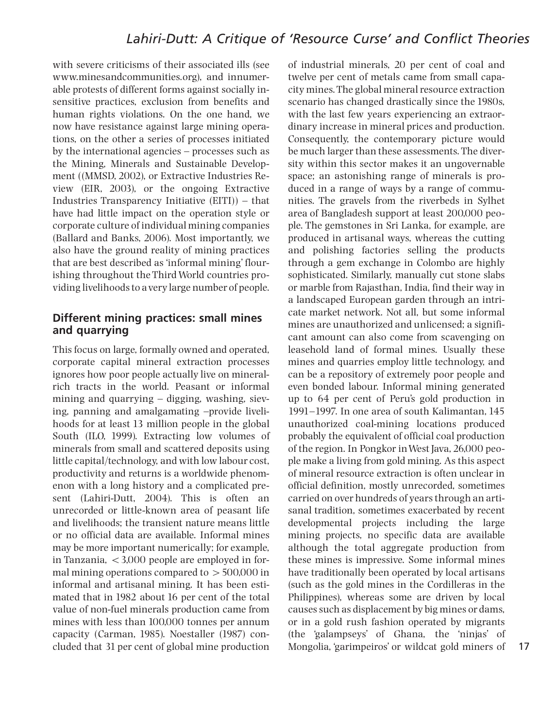with severe criticisms of their associated ills (see www.minesandcommunities.org), and innumerable protests of different forms against socially insensitive practices, exclusion from benefits and human rights violations. On the one hand, we now have resistance against large mining operations, on the other a series of processes initiated by the international agencies – processes such as the Mining, Minerals and Sustainable Development ((MMSD, 2002), or Extractive Industries Review (EIR, 2003), or the ongoing Extractive Industries Transparency Initiative  $(EITI)$ ) – that have had little impact on the operation style or corporate culture of individual mining companies (Ballard and Banks, 2006). Most importantly, we also have the ground reality of mining practices that are best described as 'informal mining' flourishing throughout the Third World countries providing livelihoods to a very large number of people.

### Different mining practices: small mines and quarrying

This focus on large, formally owned and operated, corporate capital mineral extraction processes ignores how poor people actually live on mineralrich tracts in the world. Peasant or informal mining and quarrying  $-$  digging, washing, sieving, panning and amalgamating -provide livelihoods for at least 13 million people in the global South (ILO, 1999). Extracting low volumes of minerals from small and scattered deposits using little capital/technology, and with low labour cost, productivity and returns is a worldwide phenomenon with a long history and a complicated present (Lahiri-Dutt, 2004). This is often an unrecorded or little-known area of peasant life and livelihoods; the transient nature means little or no official data are available. Informal mines may be more important numerically; for example, in Tanzania,  $<$  3,000 people are employed in formal mining operations compared to  $>$  500,000 in informal and artisanal mining. It has been estimated that in 1982 about 16 per cent of the total value of non-fuel minerals production came from mines with less than 100,000 tonnes per annum capacity (Carman, 1985). Noestaller (1987) concluded that 31 per cent of global mine production

of industrial minerals, 20 per cent of coal and twelve per cent of metals came from small capacity mines.The global mineral resource extraction scenario has changed drastically since the 1980s, with the last few years experiencing an extraordinary increase in mineral prices and production. Consequently, the contemporary picture would be much larger than these assessments. The diversity within this sector makes it an ungovernable space; an astonishing range of minerals is produced in a range of ways by a range of communities. The gravels from the riverbeds in Sylhet area of Bangladesh support at least 200,000 people. The gemstones in Sri Lanka, for example, are produced in artisanal ways, whereas the cutting and polishing factories selling the products through a gem exchange in Colombo are highly sophisticated. Similarly, manually cut stone slabs or marble from Rajasthan, India, find their way in a landscaped European garden through an intricate market network. Not all, but some informal mines are unauthorized and unlicensed; a significant amount can also come from scavenging on leasehold land of formal mines. Usually these mines and quarries employ little technology, and can be a repository of extremely poor people and even bonded labour. Informal mining generated up to 64 per cent of Peru's gold production in 1991^1997. In one area of south Kalimantan, 145 unauthorized coal-mining locations produced probably the equivalent of official coal production of the region. In Pongkor inWest Java, 26,000 people make a living from gold mining. As this aspect of mineral resource extraction is often unclear in official definition, mostly unrecorded, sometimes carried on over hundreds of years through an artisanal tradition, sometimes exacerbated by recent developmental projects including the large mining projects, no specific data are available although the total aggregate production from these mines is impressive. Some informal mines have traditionally been operated by local artisans (such as the gold mines in the Cordilleras in the Philippines), whereas some are driven by local causes such as displacement by big mines or dams, or in a gold rush fashion operated by migrants (the 'galampseys' of Ghana, the 'ninjas' of Mongolia, 'garimpeiros' or wildcat gold miners of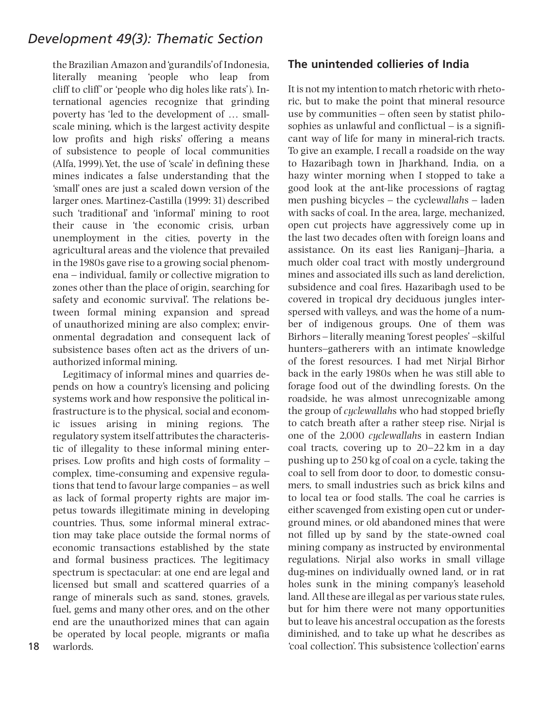## Development 49(3): Thematic Section

the Brazilian Amazon and'gurandils'of Indonesia, literally meaning 'people who leap from cliff to cliff'or 'people who dig holes like rats'). International agencies recognize that grinding poverty has 'led to the development of  $\ldots$  smallscale mining, which is the largest activity despite low profits and high risks' offering a means of subsistence to people of local communities (Alfa, 1999).Yet, the use of 'scale' in defining these mines indicates a false understanding that the 'small' ones are just a scaled down version of the larger ones. Martinez-Castilla (1999: 31) described such 'traditional' and 'informal' mining to root their cause in 'the economic crisis, urban unemployment in the cities, poverty in the agricultural areas and the violence that prevailed in the 1980s gave rise to a growing social phenomena ^ individual, family or collective migration to zones other than the place of origin, searching for safety and economic survival'. The relations between formal mining expansion and spread of unauthorized mining are also complex; environmental degradation and consequent lack of subsistence bases often act as the drivers of unauthorized informal mining.

Legitimacy of informal mines and quarries depends on how a country's licensing and policing systems work and how responsive the political infrastructure is to the physical, social and economic issues arising in mining regions. The regulatory system itself attributes the characteristic of illegality to these informal mining enterprises. Low profits and high costs of formality  $$ complex, time-consuming and expensive regulations that tend to favour large companies - as well as lack of formal property rights are major impetus towards illegitimate mining in developing countries. Thus, some informal mineral extraction may take place outside the formal norms of economic transactions established by the state and formal business practices. The legitimacy spectrum is spectacular: at one end are legal and licensed but small and scattered quarries of a range of minerals such as sand, stones, gravels, fuel, gems and many other ores, and on the other end are the unauthorized mines that can again be operated by local people, migrants or mafia warlords.

#### The unintended collieries of India

It is not my intention to match rhetoric with rhetoric, but to make the point that mineral resource use by communities - often seen by statist philosophies as unlawful and conflictual  $-$  is a significant way of life for many in mineral-rich tracts. To give an example, Irecall a roadside on the way to Hazaribagh town in Jharkhand, India, on a hazy winter morning when I stopped to take a good look at the ant-like processions of ragtag men pushing bicycles  $-$  the cyclewallahs  $-$  laden with sacks of coal. In the area, large, mechanized, open cut projects have aggressively come up in the last two decades often with foreign loans and assistance. On its east lies Raniganj-Jharia, a much older coal tract with mostly underground mines and associated ills such as land dereliction, subsidence and coal fires. Hazaribagh used to be covered in tropical dry deciduous jungles interspersed with valleys, and was the home of a number of indigenous groups. One of them was Birhors – literally meaning 'forest peoples' – skilful hunters-gatherers with an intimate knowledge of the forest resources. Ihad met Nirjal Birhor back in the early 1980s when he was still able to forage food out of the dwindling forests. On the roadside, he was almost unrecognizable among the group of cyclewallahs who had stopped briefly to catch breath after a rather steep rise. Nirjal is one of the 2,000 cyclewallahs in eastern Indian coal tracts, covering up to  $20-22$  km in a day pushing up to 250 kg of coal on a cycle, taking the coal to sell from door to door, to domestic consumers, to small industries such as brick kilns and to local tea or food stalls. The coal he carries is either scavenged from existing open cut or underground mines, or old abandoned mines that were not filled up by sand by the state-owned coal mining company as instructed by environmental regulations. Nirjal also works in small village dug-mines on individually owned land, or in rat holes sunk in the mining company's leasehold land. All these are illegal as per various state rules, but for him there were not many opportunities but to leave his ancestral occupation as the forests diminished, and to take up what he describes as 'coal collection'. This subsistence 'collection' earns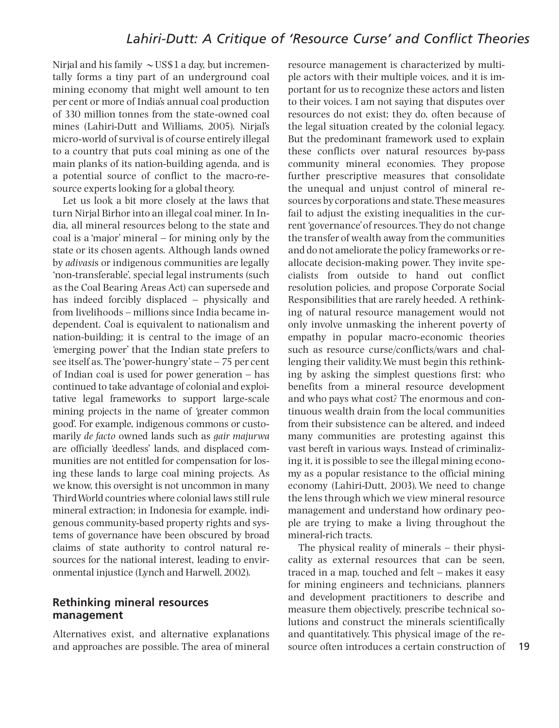## Lahiri-Dutt: A Critique of 'Resource Curse' and Conflict Theories

Nirjal and his family  $\sim$  US\$1 a day, but incrementally forms a tiny part of an underground coal mining economy that might well amount to ten per cent or more of India's annual coal production of 330 million tonnes from the state-owned coal mines (Lahiri-Dutt and Williams, 2005). Nirjal's micro-world of survival is of course entirely illegal to a country that puts coal mining as one of the main planks of its nation-building agenda, and is a potential source of conflict to the macro-resource experts looking for a global theory.

Let us look a bit more closely at the laws that turn Nirjal Birhor into an illegal coal miner. In India, all mineral resources belong to the state and coal is a 'major' mineral  $-$  for mining only by the state or its chosen agents. Although lands owned by adivasis or indigenous communities are legally 'non-transferable', special legal instruments (such as the Coal Bearing Areas Act) can supersede and has indeed forcibly displaced - physically and from livelihoods - millions since India became independent. Coal is equivalent to nationalism and nation-building; it is central to the image of an 'emerging power' that the Indian state prefers to see itself as. The'power-hungry'state ^ 75 per cent of Indian coal is used for power generation ^ has continued to take advantage of colonial and exploitative legal frameworks to support large-scale mining projects in the name of 'greater common good'. For example, indigenous commons or customarily de facto owned lands such as gair majurwa are officially 'deedless' lands, and displaced communities are not entitled for compensation for losing these lands to large coal mining projects. As we know, this oversight is not uncommon in many ThirdWorld countries where colonial laws still rule mineral extraction; in Indonesia for example, indigenous community-based property rights and systems of governance have been obscured by broad claims of state authority to control natural resources for the national interest, leading to environmental injustice (Lynch and Harwell, 2002).

#### Rethinking mineral resources management

Alternatives exist, and alternative explanations and approaches are possible. The area of mineral resource management is characterized by multiple actors with their multiple voices, and it is important for us to recognize these actors and listen to their voices. Iam not saying that disputes over resources do not exist; they do, often because of the legal situation created by the colonial legacy. But the predominant framework used to explain these conflicts over natural resources by-pass community mineral economies. They propose further prescriptive measures that consolidate the unequal and unjust control of mineral resources by corporations and state.These measures fail to adjust the existing inequalities in the current 'governance'of resources. They do not change the transfer of wealth away from the communities and do not ameliorate the policy frameworks or reallocate decision-making power. They invite specialists from outside to hand out conflict resolution policies, and propose Corporate Social Responsibilities that are rarely heeded. A rethinking of natural resource management would not only involve unmasking the inherent poverty of empathy in popular macro-economic theories such as resource curse/conflicts/wars and challenging their validity.We must begin this rethinking by asking the simplest questions first: who benefits from a mineral resource development and who pays what cost? The enormous and continuous wealth drain from the local communities from their subsistence can be altered, and indeed many communities are protesting against this vast bereft in various ways. Instead of criminalizing it, it is possible to see the illegal mining economy as a popular resistance to the official mining economy (Lahiri-Dutt, 2003). We need to change the lens through which we view mineral resource management and understand how ordinary people are trying to make a living throughout the mineral-rich tracts.

The physical reality of minerals  $-$  their physicality as external resources that can be seen, traced in a map, touched and felt ^ makes it easy for mining engineers and technicians, planners and development practitioners to describe and measure them objectively, prescribe technical solutions and construct the minerals scientifically and quantitatively. This physical image of the resource often introduces a certain construction of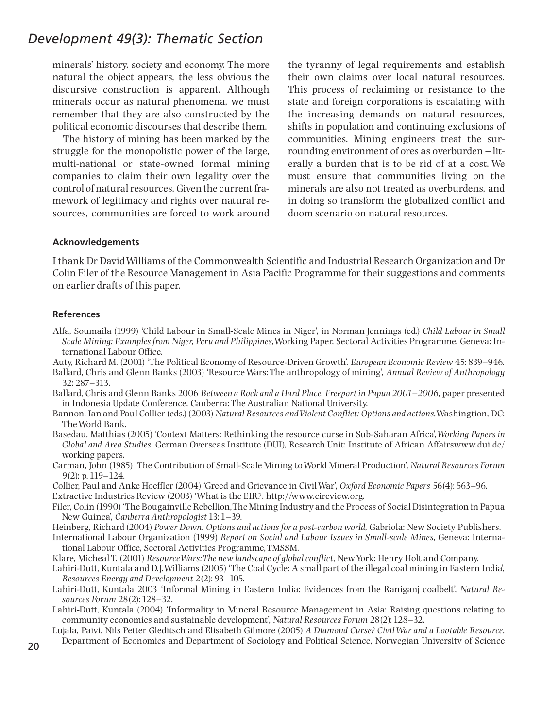## Development 49(3): Thematic Section

minerals' history, society and economy. The more natural the object appears, the less obvious the discursive construction is apparent. Although minerals occur as natural phenomena, we must remember that they are also constructed by the political economic discourses that describe them.

The history of mining has been marked by the struggle for the monopolistic power of the large, multi-national or state-owned formal mining companies to claim their own legality over the control of natural resources. Given the current framework of legitimacy and rights over natural resources, communities are forced to work around

the tyranny of legal requirements and establish their own claims over local natural resources. This process of reclaiming or resistance to the state and foreign corporations is escalating with the increasing demands on natural resources, shifts in population and continuing exclusions of communities. Mining engineers treat the surrounding environment of ores as overburden – literally a burden that is to be rid of at a cost. We must ensure that communities living on the minerals are also not treated as overburdens, and in doing so transform the globalized conflict and doom scenario on natural resources.

#### Acknowledgements

Ithank Dr DavidWilliams of the Commonwealth Scientific and Industrial Research Organization and Dr Colin Filer of the Resource Management in Asia Pacific Programme for their suggestions and comments on earlier drafts of this paper.

#### References

- Alfa, Soumaila (1999) 'Child Labour in Small-Scale Mines in Niger', in Norman Jennings (ed.) Child Labour in Small Scale Mining: Examples from Niger, Peru and Philippines,Working Paper, Sectoral Activities Programme, Geneva: International Labour Office.
- Auty, Richard M. (2001) 'The Political Economy of Resource-Driven Growth', European Economic Review 45: 839-946.
- Ballard, Chris and Glenn Banks (2003) 'Resource Wars:The anthropology of mining', Annual Review of Anthropology 32: 287-313.
- Ballard, Chris and Glenn Banks 2006 Between a Rock and a Hard Place. Freeport in Papua 2001-2006, paper presented in Indonesia Update Conference, Canberra:The Australian National University.
- Bannon, Ian and Paul Collier (eds.) (2003) Natural Resources and Violent Conflict: Options and actions, Washingtion, DC: TheWorld Bank.
- Basedau, Matthias (2005) 'Context Matters: Rethinking the resource curse in Sub-Saharan Africa',Working Papers in Global and Area Studies, German Overseas Institute (DUI), Research Unit: Institute of African Affairswww.dui.de/ working papers.

Carman, John (1985) 'The Contribution of Small-Scale Mining toWorld Mineral Production', Natural Resources Forum 9(2): p. 119-124.

Collier, Paul and Anke Hoeffler (2004) 'Greed and Grievance in CivilWar', Oxford Economic Papers 56(4): 563^96. Extractive Industries Review (2003) 'What is the EIR?. http://www.eireview.org.

- Filer, Colin (1990) 'The Bougainville Rebellion,The Mining Industry and the Process of Social Disintegration in Papua New Guinea', Canberra Anthropologist 13: 1-39.
- Heinberg, Richard (2004) Power Down: Options and actions for a post-carbon world, Gabriola: New Society Publishers.
- International Labour Organization (1999) Report on Social and Labour Issues in Small-scale Mines, Geneva: International Labour Office, Sectoral Activities Programme,TMSSM.
- Klare, Micheal T. (2001) ResourceWars:The new landscape of global conflict, NewYork: Henry Holt and Company.
- Lahiri-Dutt, Kuntala and D.J.Williams (2005) 'The Coal Cycle: A small part of the illegal coal mining in Eastern India', Resources Energy and Development 2(2): 93-105.
- Lahiri-Dutt, Kuntala 2003 'Informal Mining in Eastern India: Evidences from the Raniganj coalbelt', Natural Resources Forum 28(2): 128-32.
- Lahiri-Dutt, Kuntala (2004) 'Informality in Mineral Resource Management in Asia: Raising questions relating to community economies and sustainable development', Natural Resources Forum 28(2): 128-32.
- Lujala, Paivi, Nils Petter Gleditsch and Elisabeth Gilmore (2005) A Diamond Curse? CivilWar and a Lootable Resource, Department of Economics and Department of Sociology and Political Science, Norwegian University of Science